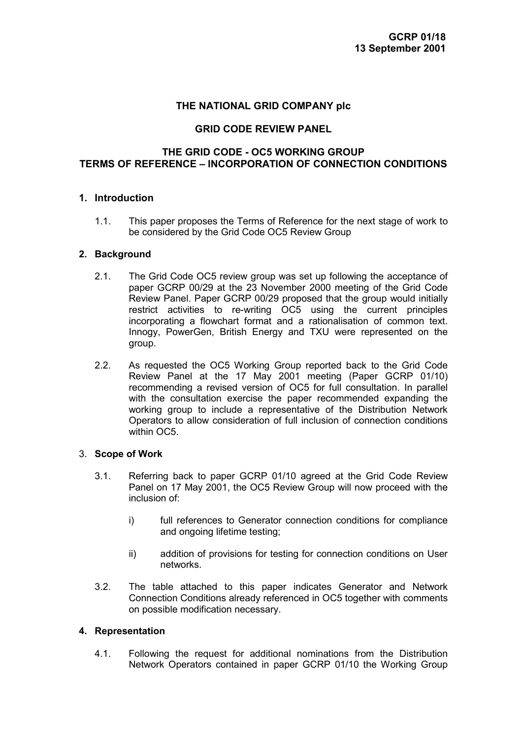# **THE NATIONAL GRID COMPANY plc**

### **GRID CODE REVIEW PANEL**

# **THE GRID CODE - OC5 WORKING GROUP TERMS OF REFERENCE – INCORPORATION OF CONNECTION CONDITIONS**

### **1. Introduction**

1.1. This paper proposes the Terms of Reference for the next stage of work to be considered by the Grid Code OC5 Review Group

#### **2. Background**

- 2.1. The Grid Code OC5 review group was set up following the acceptance of paper GCRP 00/29 at the 23 November 2000 meeting of the Grid Code Review Panel. Paper GCRP 00/29 proposed that the group would initially restrict activities to re-writing OC5 using the current principles incorporating a flowchart format and a rationalisation of common text. Innogy, PowerGen, British Energy and TXU were represented on the group.
- 2.2. As requested the OC5 Working Group reported back to the Grid Code Review Panel at the 17 May 2001 meeting (Paper GCRP 01/10) recommending a revised version of OC5 for full consultation. In parallel with the consultation exercise the paper recommended expanding the working group to include a representative of the Distribution Network Operators to allow consideration of full inclusion of connection conditions within OC<sub>5</sub>

#### 3. **Scope of Work**

- 3.1. Referring back to paper GCRP 01/10 agreed at the Grid Code Review Panel on 17 May 2001, the OC5 Review Group will now proceed with the inclusion of:
	- i) full references to Generator connection conditions for compliance and ongoing lifetime testing;
	- ii) addition of provisions for testing for connection conditions on User networks.
- 3.2. The table attached to this paper indicates Generator and Network Connection Conditions already referenced in OC5 together with comments on possible modification necessary.

#### **4. Representation**

4.1. Following the request for additional nominations from the Distribution Network Operators contained in paper GCRP 01/10 the Working Group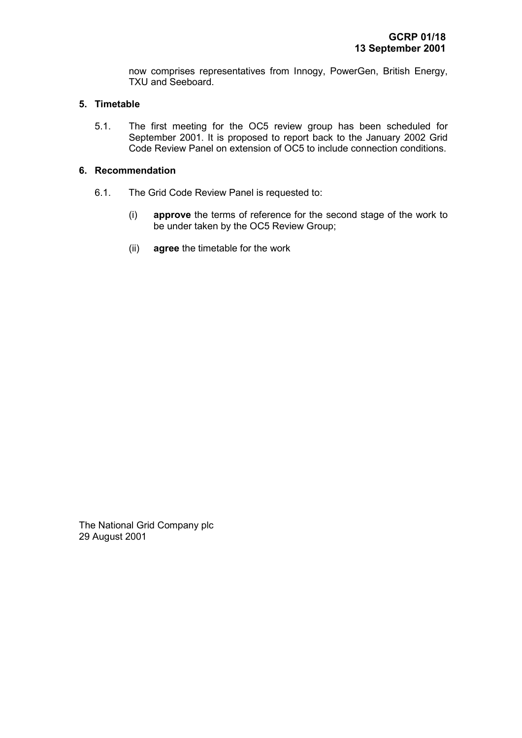now comprises representatives from Innogy, PowerGen, British Energy, TXU and Seeboard.

#### **5. Timetable**

5.1. The first meeting for the OC5 review group has been scheduled for September 2001. It is proposed to report back to the January 2002 Grid Code Review Panel on extension of OC5 to include connection conditions.

# **6. Recommendation**

- 6.1. The Grid Code Review Panel is requested to:
	- (i) **approve** the terms of reference for the second stage of the work to be under taken by the OC5 Review Group;
	- (ii) **agree** the timetable for the work

The National Grid Company plc 29 August 2001